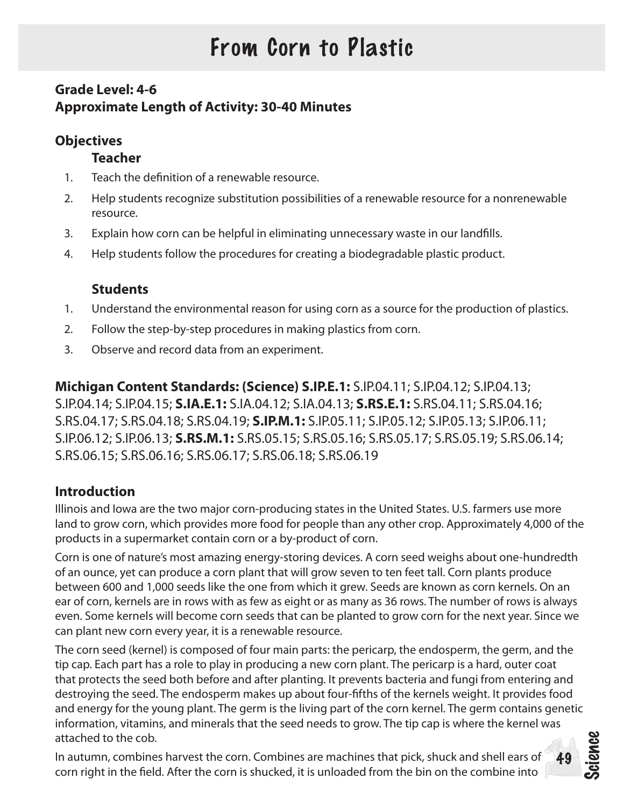# From Corn to Plastic

# **Grade Level: 4-6 Approximate Length of Activity: 30-40 Minutes**

## **Objectives**

## **Teacher**

- 1. Teach the definition of a renewable resource.
- 2. Help students recognize substitution possibilities of a renewable resource for a nonrenewable resource.
- 3. Explain how corn can be helpful in eliminating unnecessary waste in our landfills.
- 4. Help students follow the procedures for creating a biodegradable plastic product.

## **Students**

- 1. Understand the environmental reason for using corn as a source for the production of plastics.
- 2. Follow the step-by-step procedures in making plastics from corn.
- 3. Observe and record data from an experiment.

**Michigan Content Standards: (Science) S.IP.E.1:** S.IP.04.11; S.IP.04.12; S.IP.04.13; S.IP.04.14; S.IP.04.15; **S.IA.E.1:** S.IA.04.12; S.IA.04.13; **S.RS.E.1:** S.RS.04.11; S.RS.04.16; S.RS.04.17; S.RS.04.18; S.RS.04.19; **S.IP.M.1:** S.IP.05.11; S.IP.05.12; S.IP.05.13; S.IP.06.11; S.IP.06.12; S.IP.06.13; **S.RS.M.1:** S.RS.05.15; S.RS.05.16; S.RS.05.17; S.RS.05.19; S.RS.06.14; S.RS.06.15; S.RS.06.16; S.RS.06.17; S.RS.06.18; S.RS.06.19

## **Introduction**

Illinois and Iowa are the two major corn-producing states in the United States. U.S. farmers use more land to grow corn, which provides more food for people than any other crop. Approximately 4,000 of the products in a supermarket contain corn or a by-product of corn.

Corn is one of nature's most amazing energy-storing devices. A corn seed weighs about one-hundredth of an ounce, yet can produce a corn plant that will grow seven to ten feet tall. Corn plants produce between 600 and 1,000 seeds like the one from which it grew. Seeds are known as corn kernels. On an ear of corn, kernels are in rows with as few as eight or as many as 36 rows. The number of rows is always even. Some kernels will become corn seeds that can be planted to grow corn for the next year. Since we can plant new corn every year, it is a renewable resource.

Science The corn seed (kernel) is composed of four main parts: the pericarp, the endosperm, the germ, and the tip cap. Each part has a role to play in producing a new corn plant. The pericarp is a hard, outer coat that protects the seed both before and after planting. It prevents bacteria and fungi from entering and destroying the seed. The endosperm makes up about four-fifths of the kernels weight. It provides food and energy for the young plant. The germ is the living part of the corn kernel. The germ contains genetic information, vitamins, and minerals that the seed needs to grow. The tip cap is where the kernel was attached to the cob.

49

In autumn, combines harvest the corn. Combines are machines that pick, shuck and shell ears of corn right in the field. After the corn is shucked, it is unloaded from the bin on the combine into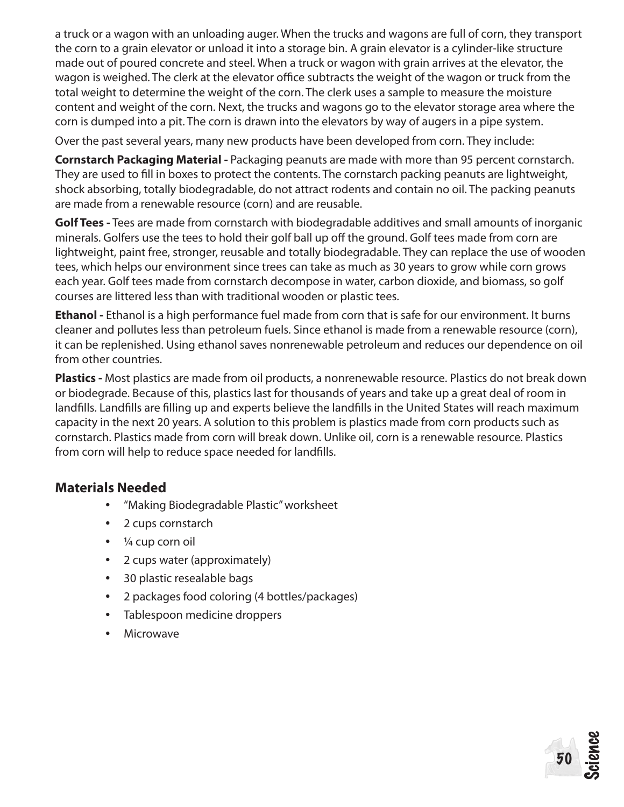a truck or a wagon with an unloading auger. When the trucks and wagons are full of corn, they transport the corn to a grain elevator or unload it into a storage bin. A grain elevator is a cylinder-like structure made out of poured concrete and steel. When a truck or wagon with grain arrives at the elevator, the wagon is weighed. The clerk at the elevator office subtracts the weight of the wagon or truck from the total weight to determine the weight of the corn. The clerk uses a sample to measure the moisture content and weight of the corn. Next, the trucks and wagons go to the elevator storage area where the corn is dumped into a pit. The corn is drawn into the elevators by way of augers in a pipe system.

Over the past several years, many new products have been developed from corn. They include:

**Cornstarch Packaging Material -** Packaging peanuts are made with more than 95 percent cornstarch. They are used to fill in boxes to protect the contents. The cornstarch packing peanuts are lightweight, shock absorbing, totally biodegradable, do not attract rodents and contain no oil. The packing peanuts are made from a renewable resource (corn) and are reusable.

**Golf Tees -** Tees are made from cornstarch with biodegradable additives and small amounts of inorganic minerals. Golfers use the tees to hold their golf ball up off the ground. Golf tees made from corn are lightweight, paint free, stronger, reusable and totally biodegradable. They can replace the use of wooden tees, which helps our environment since trees can take as much as 30 years to grow while corn grows each year. Golf tees made from cornstarch decompose in water, carbon dioxide, and biomass, so golf courses are littered less than with traditional wooden or plastic tees.

**Ethanol -** Ethanol is a high performance fuel made from corn that is safe for our environment. It burns cleaner and pollutes less than petroleum fuels. Since ethanol is made from a renewable resource (corn), it can be replenished. Using ethanol saves nonrenewable petroleum and reduces our dependence on oil from other countries.

**Plastics -** Most plastics are made from oil products, a nonrenewable resource. Plastics do not break down or biodegrade. Because of this, plastics last for thousands of years and take up a great deal of room in landfills. Landfills are filling up and experts believe the landfills in the United States will reach maximum capacity in the next 20 years. A solution to this problem is plastics made from corn products such as cornstarch. Plastics made from corn will break down. Unlike oil, corn is a renewable resource. Plastics from corn will help to reduce space needed for landfills.

Science

50

#### **Materials Needed**

- "Making Biodegradable Plastic" worksheet
- 2 cups cornstarch
- $\cdot$   $\frac{1}{4}$  cup corn oil
- 2 cups water (approximately)
- • 30 plastic resealable bags
- • 2 packages food coloring (4 bottles/packages)
- Tablespoon medicine droppers
- Microwave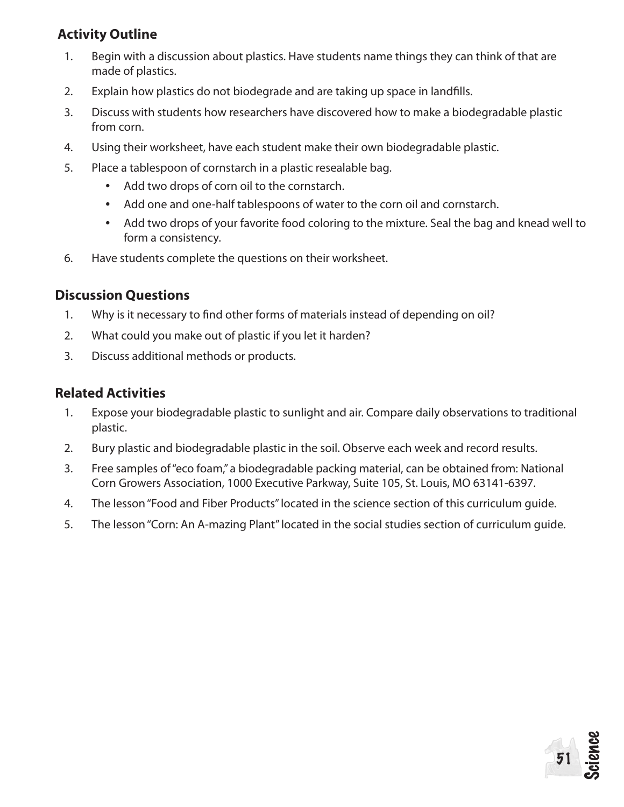## **Activity Outline**

- 1. Begin with a discussion about plastics. Have students name things they can think of that are made of plastics.
- 2. Explain how plastics do not biodegrade and are taking up space in landfills.
- 3. Discuss with students how researchers have discovered how to make a biodegradable plastic from corn.
- 4. Using their worksheet, have each student make their own biodegradable plastic.
- 5. Place a tablespoon of cornstarch in a plastic resealable bag.
	- Add two drops of corn oil to the cornstarch.
	- Add one and one-half tablespoons of water to the corn oil and cornstarch.
	- Add two drops of your favorite food coloring to the mixture. Seal the bag and knead well to form a consistency.
- 6. Have students complete the questions on their worksheet.

### **Discussion Questions**

- 1. Why is it necessary to find other forms of materials instead of depending on oil?
- 2. What could you make out of plastic if you let it harden?
- 3. Discuss additional methods or products.

### **Related Activities**

- 1. Expose your biodegradable plastic to sunlight and air. Compare daily observations to traditional plastic.
- 2. Bury plastic and biodegradable plastic in the soil. Observe each week and record results.
- 3. Free samples of "eco foam," a biodegradable packing material, can be obtained from: National Corn Growers Association, 1000 Executive Parkway, Suite 105, St. Louis, MO 63141-6397.
- 4. The lesson "Food and Fiber Products" located in the science section of this curriculum guide.
- 5. The lesson "Corn: An A-mazing Plant" located in the social studies section of curriculum guide.